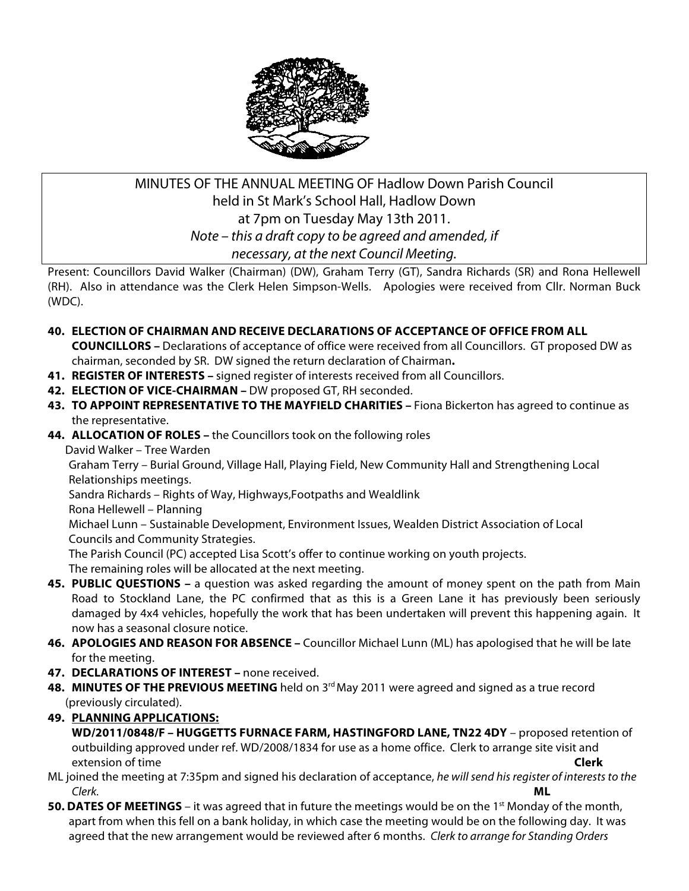

# MINUTES OF THE ANNUAL MEETING OF Hadlow Down Parish Council held in St Mark's School Hall, Hadlow Down at 7pm on Tuesday May 13th 2011. *Note – this a draft copy to be agreed and amended, if necessary, at the next Council Meeting.*

Present: Councillors David Walker (Chairman) (DW), Graham Terry (GT), Sandra Richards (SR) and Rona Hellewell (RH). Also in attendance was the Clerk Helen Simpson-Wells. Apologies were received from Cllr. Norman Buck (WDC).

## **40. ELECTION OF CHAIRMAN AND RECEIVE DECLARATIONS OF ACCEPTANCE OF OFFICE FROM ALL**

**COUNCILLORS –** Declarations of acceptance of office were received from all Councillors. GT proposed DW as chairman, seconded by SR. DW signed the return declaration of Chairman**.** 

- **41. REGISTER OF INTERESTS –** signed register of interests received from all Councillors.
- **42. ELECTION OF VICE-CHAIRMAN –** DW proposed GT, RH seconded.
- **43. TO APPOINT REPRESENTATIVE TO THE MAYFIELD CHARITIES –** Fiona Bickerton has agreed to continue as the representative.
- **44. ALLOCATION OF ROLES –** the Councillors took on the following roles

David Walker – Tree Warden

 Graham Terry – Burial Ground, Village Hall, Playing Field, New Community Hall and Strengthening Local Relationships meetings.

Sandra Richards – Rights of Way, Highways,Footpaths and Wealdlink

Rona Hellewell – Planning

 Michael Lunn – Sustainable Development, Environment Issues, Wealden District Association of Local Councils and Community Strategies.

The Parish Council (PC) accepted Lisa Scott's offer to continue working on youth projects.

The remaining roles will be allocated at the next meeting.

- **45. PUBLIC QUESTIONS –** a question was asked regarding the amount of money spent on the path from Main Road to Stockland Lane, the PC confirmed that as this is a Green Lane it has previously been seriously damaged by 4x4 vehicles, hopefully the work that has been undertaken will prevent this happening again. It now has a seasonal closure notice.
- **46. APOLOGIES AND REASON FOR ABSENCE –** Councillor Michael Lunn (ML) has apologised that he will be late for the meeting.
- **47. DECLARATIONS OF INTEREST –** none received.
- **48. MINUTES OF THE PREVIOUS MEETING** held on 3<sup>rd</sup> May 2011 were agreed and signed as a true record (previously circulated).
- **49. PLANNING APPLICATIONS:**

**WD/2011/0848/F – HUGGETTS FURNACE FARM, HASTINGFORD LANE, TN22 4DY** – proposed retention of outbuilding approved under ref. WD/2008/1834 for use as a home office. Clerk to arrange site visit and extension of time **Clerk**

- ML joined the meeting at 7:35pm and signed his declaration of acceptance, *he will send his register of interests to the Clerk.* **ML**
- **50. DATES OF MEETINGS** it was agreed that in future the meetings would be on the 1<sup>st</sup> Monday of the month, apart from when this fell on a bank holiday, in which case the meeting would be on the following day. It was agreed that the new arrangement would be reviewed after 6 months. *Clerk to arrange for Standing Orders*